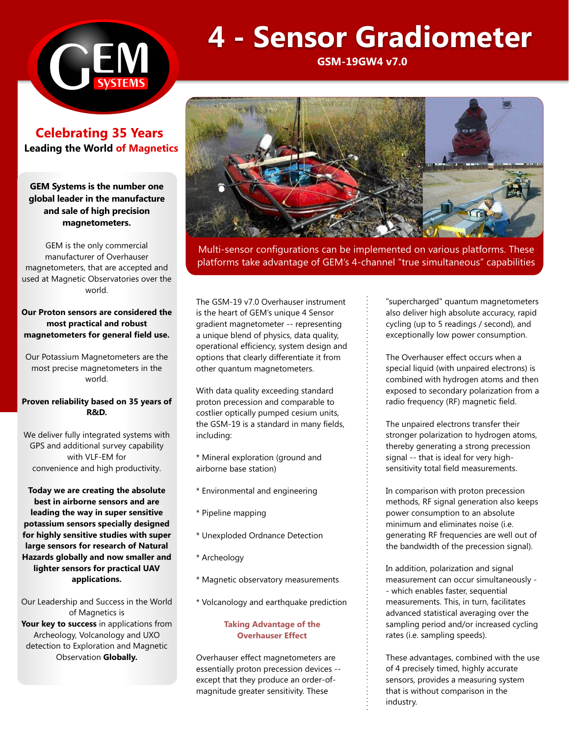

**Celebrating 35 Years Leading the World of Magnetics** 

# **GEM Systems is the number one global leader in the manufacture and sale of high precision magnetometers.**

GEM is the only commercial manufacturer of Overhauser magnetometers, that are accepted and used at Magnetic Observatories over the world.

### **Our Proton sensors are considered the most practical and robust magnetometers for general field use.**

Our Potassium Magnetometers are the most precise magnetometers in the world.

#### **Proven reliability based on 35 years of R&D.**

We deliver fully integrated systems with GPS and additional survey capability with VLF-EM for convenience and high productivity.

## **Today we are creating the absolute best in airborne sensors and are leading the way in super sensitive potassium sensors specially designed for highly sensitive studies with super large sensors for research of Natural Hazards globally and now smaller and lighter sensors for practical UAV applications.**

Our Leadership and Success in the World of Magnetics is **Your key to success** in applications from Archeology, Volcanology and UXO detection to Exploration and Magnetic Observation **Globally.**

# **4 - Sensor Gradiometer**

**GSM-19GW4 v7.0**



Multi-sensor configurations can be implemented on various platforms. These platforms take advantage of GEM's 4-channel "true simultaneous" capabilities

The GSM-19 v7.0 Overhauser instrument is the heart of GEM's unique 4 Sensor gradient magnetometer -- representing a unique blend of physics, data quality, operational efficiency, system design and options that clearly differentiate it from other quantum magnetometers.

With data quality exceeding standard proton precession and comparable to costlier optically pumped cesium units, the GSM-19 is a standard in many fields, including:

- \* Mineral exploration (ground and airborne base station)
- \* Environmental and engineering
- \* Pipeline mapping
- \* Unexploded Ordnance Detection
- \* Archeology
- \* Magnetic observatory measurements
- \* Volcanology and earthquake prediction

#### **Taking Advantage of the Overhauser Effect**

Overhauser effect magnetometers are essentially proton precession devices - except that they produce an order-ofmagnitude greater sensitivity. These

"supercharged" quantum magnetometers also deliver high absolute accuracy, rapid cycling (up to 5 readings / second), and exceptionally low power consumption.

The Overhauser effect occurs when a special liquid (with unpaired electrons) is combined with hydrogen atoms and then exposed to secondary polarization from a radio frequency (RF) magnetic field.

The unpaired electrons transfer their stronger polarization to hydrogen atoms, thereby generating a strong precession signal -- that is ideal for very highsensitivity total field measurements.

In comparison with proton precession methods, RF signal generation also keeps power consumption to an absolute minimum and eliminates noise (i.e. generating RF frequencies are well out of the bandwidth of the precession signal).

In addition, polarization and signal measurement can occur simultaneously - - which enables faster, sequential measurements. This, in turn, facilitates advanced statistical averaging over the sampling period and/or increased cycling rates (i.e. sampling speeds).

These advantages, combined with the use of 4 precisely timed, highly accurate sensors, provides a measuring system that is without comparison in the industry.